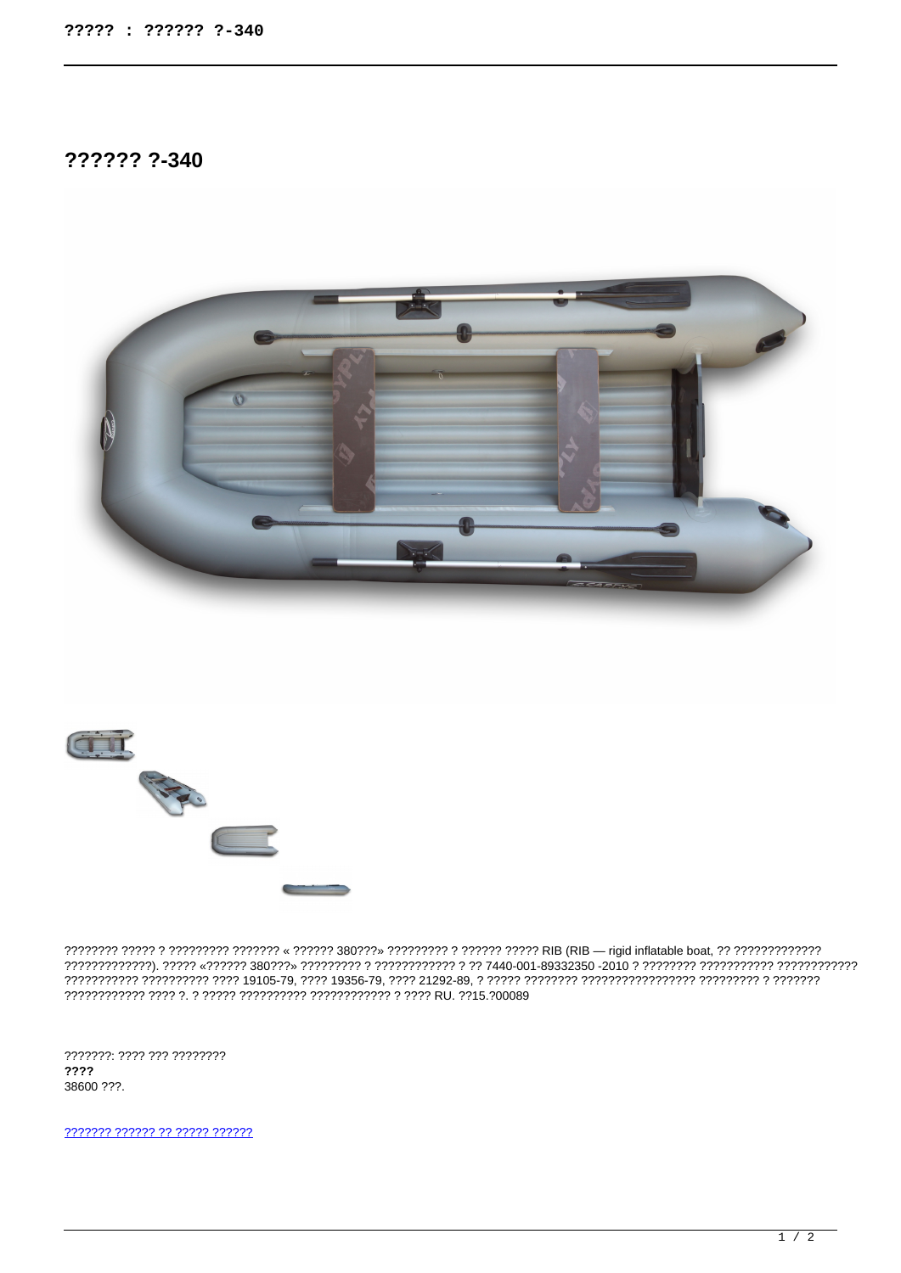?????? ?-340





???????: ???? ??? ????????  $2222$ 38600 ???.

777777 777777 77 77777 777777